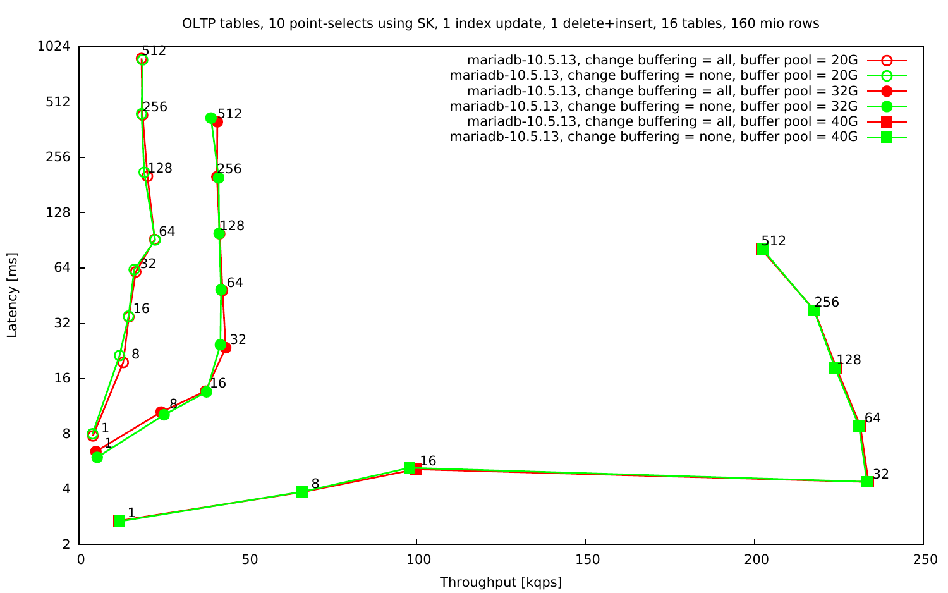OLTP tables, 10 point-selects using SK, 1 index update, 1 delete+insert, 16 tables, 160 mio rows

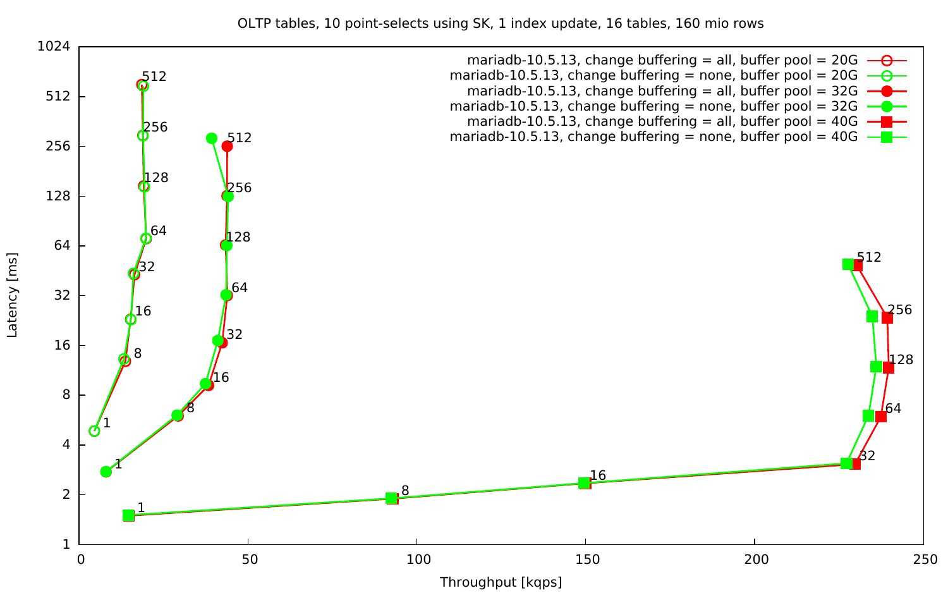